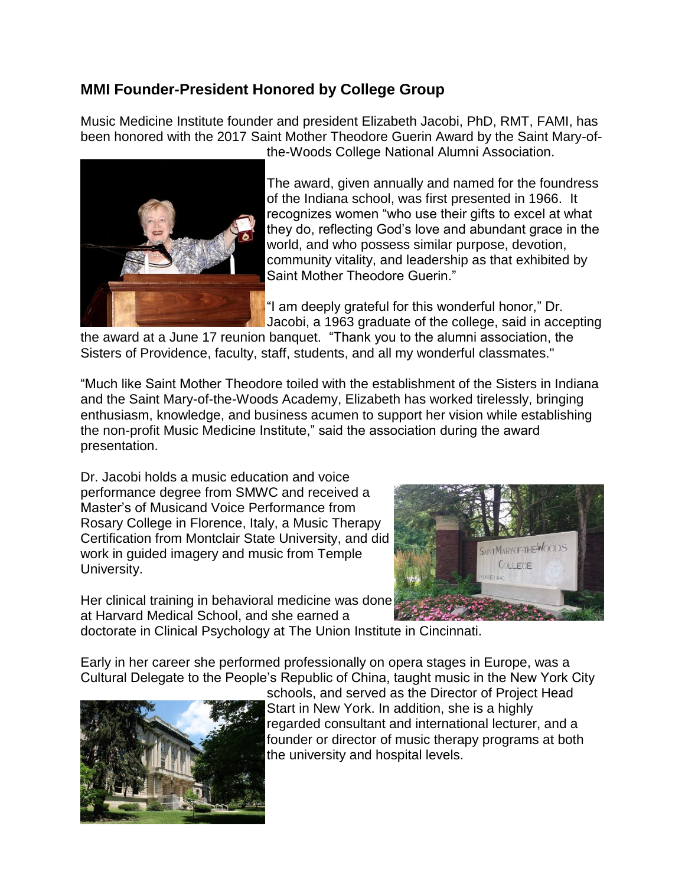## **MMI Founder-President Honored by College Group**

Music Medicine Institute founder and president Elizabeth Jacobi, PhD, RMT, FAMI, has been honored with the 2017 Saint Mother Theodore Guerin Award by the Saint Mary-ofthe-Woods College National Alumni Association.



The award, given annually and named for the foundress of the Indiana school, was first presented in 1966. It recognizes women "who use their gifts to excel at what they do, reflecting God's love and abundant grace in the world, and who possess similar purpose, devotion, community vitality, and leadership as that exhibited by Saint Mother Theodore Guerin."

"I am deeply grateful for this wonderful honor," Dr. Jacobi, a 1963 graduate of the college, said in accepting

the award at a June 17 reunion banquet. "Thank you to the alumni association, the Sisters of Providence, faculty, staff, students, and all my wonderful classmates."

"Much like Saint Mother Theodore toiled with the establishment of the Sisters in Indiana and the Saint Mary-of-the-Woods Academy, Elizabeth has worked tirelessly, bringing enthusiasm, knowledge, and business acumen to support her vision while establishing the non-profit Music Medicine Institute," said the association during the award presentation.

Dr. Jacobi holds a music education and voice performance degree from SMWC and received a Master's of Musicand Voice Performance from Rosary College in Florence, Italy, a Music Therapy Certification from Montclair State University, and did work in guided imagery and music from Temple University.



Her clinical training in behavioral medicine was done at Harvard Medical School, and she earned a

doctorate in Clinical Psychology at The Union Institute in Cincinnati.

Early in her career she performed professionally on opera stages in Europe, was a Cultural Delegate to the People's Republic of China, taught music in the New York City



schools, and served as the Director of Project Head Start in New York. In addition, she is a highly regarded consultant and international lecturer, and a founder or director of music therapy programs at both the university and hospital levels.